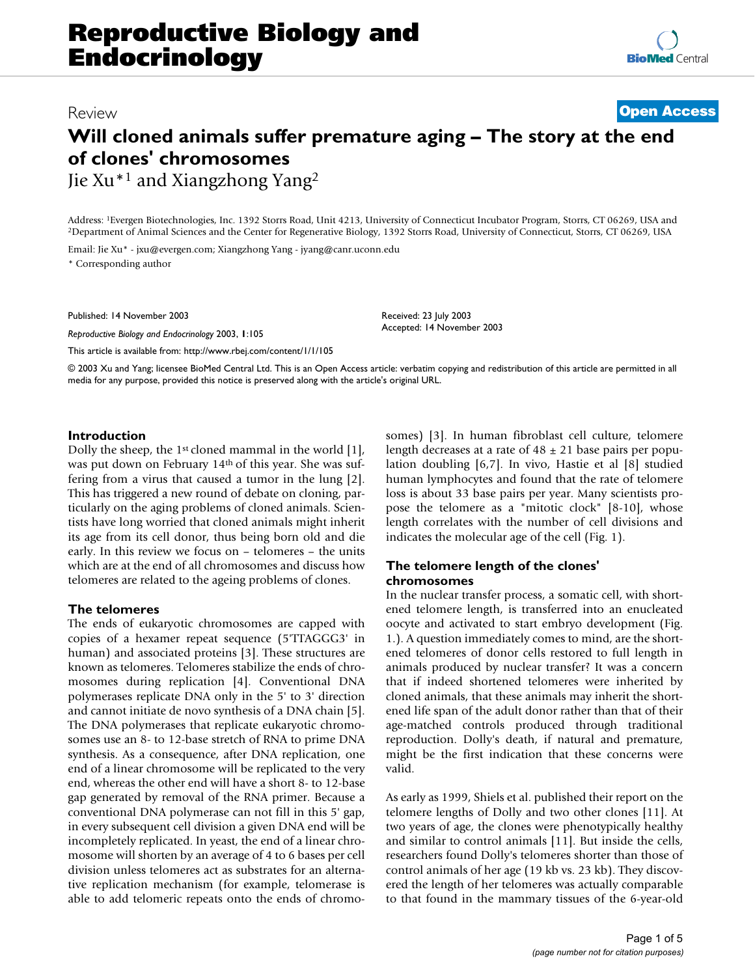# Review **[Open Access](http://www.biomedcentral.com/info/about/charter/)**

# **Will cloned animals suffer premature aging – The story at the end of clones' chromosomes** Jie Xu\*1 and Xiangzhong Yang2

Address: <sup>1</sup>Evergen Biotechnologies, Inc. 1392 Storrs Road, Unit 4213, University of Connecticut Incubator Program, Storrs, CT 06269, USA and <sup>2</sup>Department of Animal Sciences and the Center for Regenerative Biology, 1392 S

Email: Jie Xu\* - jxu@evergen.com; Xiangzhong Yang - jyang@canr.uconn.edu \* Corresponding author

Published: 14 November 2003

*Reproductive Biology and Endocrinology* 2003, **1**:105

[This article is available from: http://www.rbej.com/content/1/1/105](http://www.rbej.com/content/1/1/105)

Received: 23 July 2003 Accepted: 14 November 2003

© 2003 Xu and Yang; licensee BioMed Central Ltd. This is an Open Access article: verbatim copying and redistribution of this article are permitted in all media for any purpose, provided this notice is preserved along with the article's original URL.

## **Introduction**

Dolly the sheep, the 1st cloned mammal in the world [1], was put down on February 14th of this year. She was suffering from a virus that caused a tumor in the lung [2]. This has triggered a new round of debate on cloning, particularly on the aging problems of cloned animals. Scientists have long worried that cloned animals might inherit its age from its cell donor, thus being born old and die early. In this review we focus on – telomeres – the units which are at the end of all chromosomes and discuss how telomeres are related to the ageing problems of clones.

## **The telomeres**

The ends of eukaryotic chromosomes are capped with copies of a hexamer repeat sequence (5'TTAGGG3' in human) and associated proteins [3]. These structures are known as telomeres. Telomeres stabilize the ends of chromosomes during replication [4]. Conventional DNA polymerases replicate DNA only in the 5' to 3' direction and cannot initiate de novo synthesis of a DNA chain [5]. The DNA polymerases that replicate eukaryotic chromosomes use an 8- to 12-base stretch of RNA to prime DNA synthesis. As a consequence, after DNA replication, one end of a linear chromosome will be replicated to the very end, whereas the other end will have a short 8- to 12-base gap generated by removal of the RNA primer. Because a conventional DNA polymerase can not fill in this 5' gap, in every subsequent cell division a given DNA end will be incompletely replicated. In yeast, the end of a linear chromosome will shorten by an average of 4 to 6 bases per cell division unless telomeres act as substrates for an alternative replication mechanism (for example, telomerase is able to add telomeric repeats onto the ends of chromosomes) [3]. In human fibroblast cell culture, telomere length decreases at a rate of  $48 \pm 21$  base pairs per population doubling [6,7]. In vivo, Hastie et al [8] studied human lymphocytes and found that the rate of telomere loss is about 33 base pairs per year. Many scientists propose the telomere as a "mitotic clock" [8-10], whose length correlates with the number of cell divisions and indicates the molecular age of the cell (Fig. [1\)](#page-1-0).

## **The telomere length of the clones' chromosomes**

In the nuclear transfer process, a somatic cell, with shortened telomere length, is transferred into an enucleated oocyte and activated to start embryo development (Fig. [1](#page-1-0).). A question immediately comes to mind, are the shortened telomeres of donor cells restored to full length in animals produced by nuclear transfer? It was a concern that if indeed shortened telomeres were inherited by cloned animals, that these animals may inherit the shortened life span of the adult donor rather than that of their age-matched controls produced through traditional reproduction. Dolly's death, if natural and premature, might be the first indication that these concerns were valid.

As early as 1999, Shiels et al. published their report on the telomere lengths of Dolly and two other clones [11]. At two years of age, the clones were phenotypically healthy and similar to control animals [11]. But inside the cells, researchers found Dolly's telomeres shorter than those of control animals of her age (19 kb vs. 23 kb). They discovered the length of her telomeres was actually comparable to that found in the mammary tissues of the 6-year-old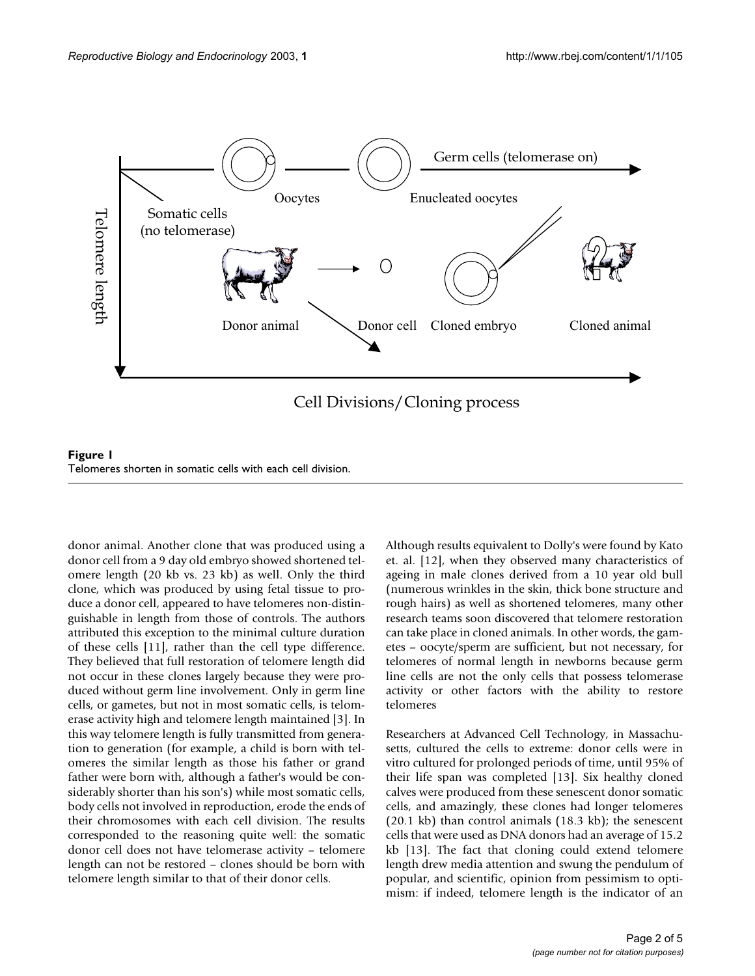<span id="page-1-0"></span>

**Figure 1**<br>Telomeres shorten in somatic cells with each cell division.

donor animal. Another clone that was produced using a donor cell from a 9 day old embryo showed shortened telomere length (20 kb vs. 23 kb) as well. Only the third clone, which was produced by using fetal tissue to produce a donor cell, appeared to have telomeres non-distinguishable in length from those of controls. The authors attributed this exception to the minimal culture duration of these cells [11], rather than the cell type difference. They believed that full restoration of telomere length did not occur in these clones largely because they were produced without germ line involvement. Only in germ line cells, or gametes, but not in most somatic cells, is telomerase activity high and telomere length maintained [3]. In this way telomere length is fully transmitted from generation to generation (for example, a child is born with telomeres the similar length as those his father or grand father were born with, although a father's would be considerably shorter than his son's) while most somatic cells, body cells not involved in reproduction, erode the ends of their chromosomes with each cell division. The results corresponded to the reasoning quite well: the somatic donor cell does not have telomerase activity – telomere length can not be restored – clones should be born with telomere length similar to that of their donor cells.

Although results equivalent to Dolly's were found by Kato et. al. [12], when they observed many characteristics of ageing in male clones derived from a 10 year old bull (numerous wrinkles in the skin, thick bone structure and rough hairs) as well as shortened telomeres, many other research teams soon discovered that telomere restoration can take place in cloned animals. In other words, the gametes – oocyte/sperm are sufficient, but not necessary, for telomeres of normal length in newborns because germ line cells are not the only cells that possess telomerase activity or other factors with the ability to restore telomeres

Researchers at Advanced Cell Technology, in Massachusetts, cultured the cells to extreme: donor cells were in vitro cultured for prolonged periods of time, until 95% of their life span was completed [13]. Six healthy cloned calves were produced from these senescent donor somatic cells, and amazingly, these clones had longer telomeres (20.1 kb) than control animals (18.3 kb); the senescent cells that were used as DNA donors had an average of 15.2 kb [13]. The fact that cloning could extend telomere length drew media attention and swung the pendulum of popular, and scientific, opinion from pessimism to optimism: if indeed, telomere length is the indicator of an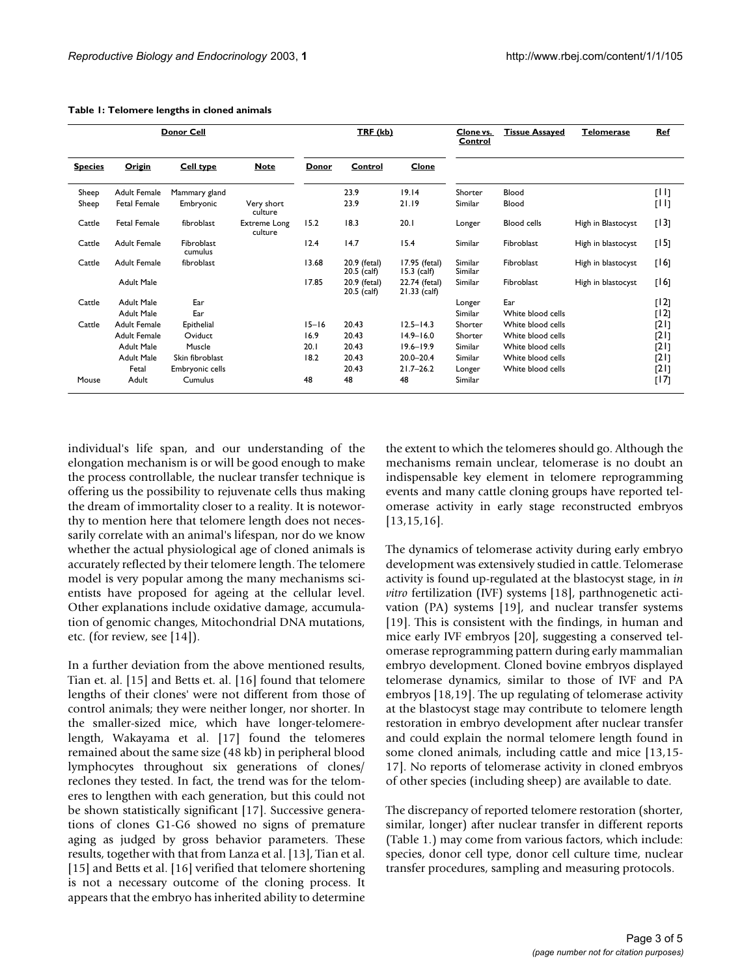| Donor Cell     |                     |                       |                         | TRF (kb)  |                               |                                 | Clone vs.<br>Control | <b>Tissue Assayed</b> | <b>Telomerase</b>  | <b>Ref</b> |
|----------------|---------------------|-----------------------|-------------------------|-----------|-------------------------------|---------------------------------|----------------------|-----------------------|--------------------|------------|
| <b>Species</b> | Origin              | <b>Cell type</b>      | <b>Note</b>             | Donor     | Control                       | Clone                           |                      |                       |                    |            |
| Sheep          | <b>Adult Female</b> | Mammary gland         |                         |           | 23.9                          | 19.14                           | Shorter              | Blood                 |                    | [1]        |
| Sheep          | <b>Fetal Female</b> | Embryonic             | Very short<br>culture   |           | 23.9                          | 21.19                           | Similar              | Blood                 |                    | [11]       |
| Cattle         | <b>Fetal Female</b> | fibroblast            | Extreme Long<br>culture | 15.2      | 18.3                          | 20.1                            | Longer               | <b>Blood</b> cells    | High in Blastocyst | [13]       |
| Cattle         | <b>Adult Female</b> | Fibroblast<br>cumulus |                         | 12.4      | 14.7                          | 15.4                            | Similar              | Fibroblast            | High in blastocyst | [15]       |
| Cattle         | <b>Adult Female</b> | fibroblast            |                         | 13.68     | 20.9 (fetal)<br>$20.5$ (calf) | 17.95 (fetal)<br>$15.3$ (calf)  | Similar<br>Similar   | Fibroblast            | High in blastocyst | [16]       |
|                | <b>Adult Male</b>   |                       |                         | 17.85     | 20.9 (fetal)<br>$20.5$ (calf) | 22.74 (fetal)<br>$21.33$ (calf) | Similar              | Fibroblast            | High in blastocyst | [16]       |
| Cattle         | <b>Adult Male</b>   | Ear                   |                         |           |                               |                                 | Longer               | Ear                   |                    | [12]       |
|                | <b>Adult Male</b>   | Ear                   |                         |           |                               |                                 | Similar              | White blood cells     |                    | [12]       |
| Cattle         | <b>Adult Female</b> | Epithelial            |                         | $15 - 16$ | 20.43                         | $12.5 - 14.3$                   | Shorter              | White blood cells     |                    | [2]        |
|                | <b>Adult Female</b> | Oviduct               |                         | 16.9      | 20.43                         | $14.9 - 16.0$                   | Shorter              | White blood cells     |                    | [2]        |
|                | Adult Male          | Muscle                |                         | 20.1      | 20.43                         | $19.6 - 19.9$                   | Similar              | White blood cells     |                    | [2]        |
|                | <b>Adult Male</b>   | Skin fibroblast       |                         | 18.2      | 20.43                         | $20.0 - 20.4$                   | Similar              | White blood cells     |                    | [2]        |
|                | Fetal               | Embryonic cells       |                         |           | 20.43                         | $21.7 - 26.2$                   | Longer               | White blood cells     |                    | [2]        |
| Mouse          | Adult               | Cumulus               |                         | 48        | 48                            | 48                              | Similar              |                       |                    | [17]       |

#### <span id="page-2-0"></span>**Table 1: Telomere lengths in cloned animals**

individual's life span, and our understanding of the elongation mechanism is or will be good enough to make the process controllable, the nuclear transfer technique is offering us the possibility to rejuvenate cells thus making the dream of immortality closer to a reality. It is noteworthy to mention here that telomere length does not necessarily correlate with an animal's lifespan, nor do we know whether the actual physiological age of cloned animals is accurately reflected by their telomere length. The telomere model is very popular among the many mechanisms scientists have proposed for ageing at the cellular level. Other explanations include oxidative damage, accumulation of genomic changes, Mitochondrial DNA mutations, etc. (for review, see [14]).

In a further deviation from the above mentioned results, Tian et. al. [15] and Betts et. al. [16] found that telomere lengths of their clones' were not different from those of control animals; they were neither longer, nor shorter. In the smaller-sized mice, which have longer-telomerelength, Wakayama et al. [17] found the telomeres remained about the same size (48 kb) in peripheral blood lymphocytes throughout six generations of clones/ reclones they tested. In fact, the trend was for the telomeres to lengthen with each generation, but this could not be shown statistically significant [17]. Successive generations of clones G1-G6 showed no signs of premature aging as judged by gross behavior parameters. These results, together with that from Lanza et al. [13], Tian et al. [15] and Betts et al. [16] verified that telomere shortening is not a necessary outcome of the cloning process. It appears that the embryo has inherited ability to determine the extent to which the telomeres should go. Although the mechanisms remain unclear, telomerase is no doubt an indispensable key element in telomere reprogramming events and many cattle cloning groups have reported telomerase activity in early stage reconstructed embryos [13,15,16].

The dynamics of telomerase activity during early embryo development was extensively studied in cattle. Telomerase activity is found up-regulated at the blastocyst stage, in *in vitro* fertilization (IVF) systems [18], parthnogenetic activation (PA) systems [19], and nuclear transfer systems [19]. This is consistent with the findings, in human and mice early IVF embryos [20], suggesting a conserved telomerase reprogramming pattern during early mammalian embryo development. Cloned bovine embryos displayed telomerase dynamics, similar to those of IVF and PA embryos [18,19]. The up regulating of telomerase activity at the blastocyst stage may contribute to telomere length restoration in embryo development after nuclear transfer and could explain the normal telomere length found in some cloned animals, including cattle and mice [13,15- 17]. No reports of telomerase activity in cloned embryos of other species (including sheep) are available to date.

The discrepancy of reported telomere restoration (shorter, similar, longer) after nuclear transfer in different reports (Table [1.](#page-2-0)) may come from various factors, which include: species, donor cell type, donor cell culture time, nuclear transfer procedures, sampling and measuring protocols.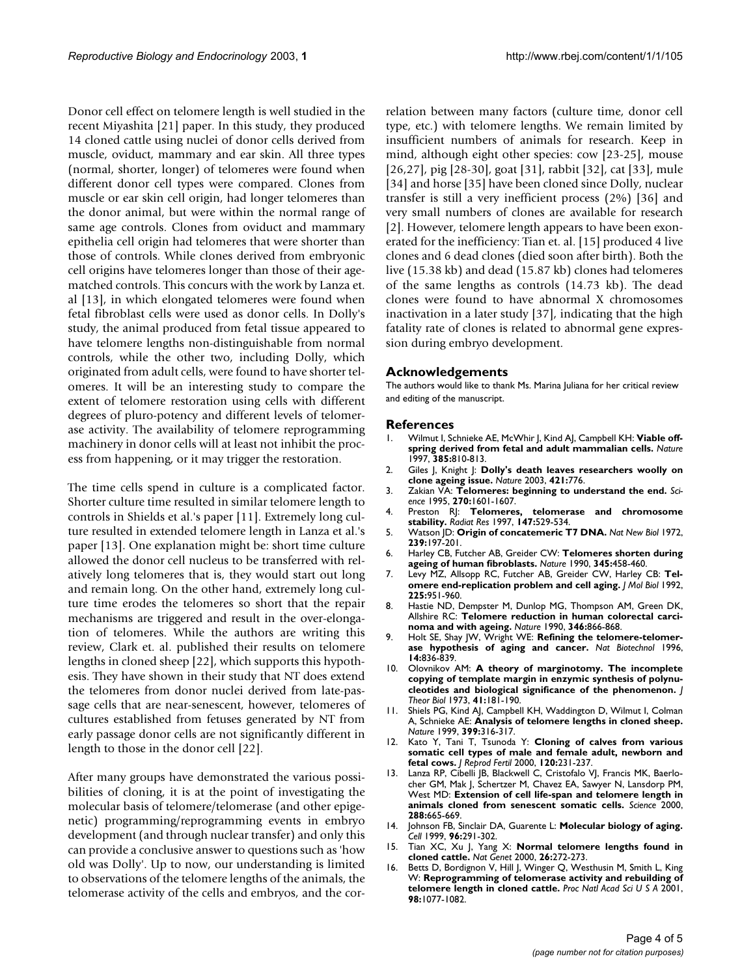Donor cell effect on telomere length is well studied in the recent Miyashita [21] paper. In this study, they produced 14 cloned cattle using nuclei of donor cells derived from muscle, oviduct, mammary and ear skin. All three types (normal, shorter, longer) of telomeres were found when different donor cell types were compared. Clones from muscle or ear skin cell origin, had longer telomeres than the donor animal, but were within the normal range of same age controls. Clones from oviduct and mammary epithelia cell origin had telomeres that were shorter than those of controls. While clones derived from embryonic cell origins have telomeres longer than those of their agematched controls. This concurs with the work by Lanza et. al [13], in which elongated telomeres were found when fetal fibroblast cells were used as donor cells. In Dolly's study, the animal produced from fetal tissue appeared to have telomere lengths non-distinguishable from normal controls, while the other two, including Dolly, which originated from adult cells, were found to have shorter telomeres. It will be an interesting study to compare the extent of telomere restoration using cells with different degrees of pluro-potency and different levels of telomerase activity. The availability of telomere reprogramming machinery in donor cells will at least not inhibit the process from happening, or it may trigger the restoration.

The time cells spend in culture is a complicated factor. Shorter culture time resulted in similar telomere length to controls in Shields et al.'s paper [11]. Extremely long culture resulted in extended telomere length in Lanza et al.'s paper [13]. One explanation might be: short time culture allowed the donor cell nucleus to be transferred with relatively long telomeres that is, they would start out long and remain long. On the other hand, extremely long culture time erodes the telomeres so short that the repair mechanisms are triggered and result in the over-elongation of telomeres. While the authors are writing this review, Clark et. al. published their results on telomere lengths in cloned sheep [22], which supports this hypothesis. They have shown in their study that NT does extend the telomeres from donor nuclei derived from late-passage cells that are near-senescent, however, telomeres of cultures established from fetuses generated by NT from early passage donor cells are not significantly different in length to those in the donor cell [22].

After many groups have demonstrated the various possibilities of cloning, it is at the point of investigating the molecular basis of telomere/telomerase (and other epigenetic) programming/reprogramming events in embryo development (and through nuclear transfer) and only this can provide a conclusive answer to questions such as 'how old was Dolly'. Up to now, our understanding is limited to observations of the telomere lengths of the animals, the telomerase activity of the cells and embryos, and the correlation between many factors (culture time, donor cell type, etc.) with telomere lengths. We remain limited by insufficient numbers of animals for research. Keep in mind, although eight other species: cow [23-25], mouse [26,27], pig [28-30], goat [31], rabbit [32], cat [33], mule [34] and horse [35] have been cloned since Dolly, nuclear transfer is still a very inefficient process (2%) [36] and very small numbers of clones are available for research [2]. However, telomere length appears to have been exonerated for the inefficiency: Tian et. al. [15] produced 4 live clones and 6 dead clones (died soon after birth). Both the live (15.38 kb) and dead (15.87 kb) clones had telomeres of the same lengths as controls (14.73 kb). The dead clones were found to have abnormal X chromosomes inactivation in a later study [37], indicating that the high fatality rate of clones is related to abnormal gene expression during embryo development.

### **Acknowledgements**

The authors would like to thank Ms. Marina Juliana for her critical review and editing of the manuscript.

#### **References**

- 1. Wilmut I, Schnieke AE, McWhir J, Kind AJ, Campbell KH: **[Viable off](http://www.ncbi.nlm.nih.gov/entrez/query.fcgi?cmd=Retrieve&db=PubMed&dopt=Abstract&list_uids=10.1038/385810a0)[spring derived from fetal and adult mammalian cells](http://www.ncbi.nlm.nih.gov/entrez/query.fcgi?cmd=Retrieve&db=PubMed&dopt=Abstract&list_uids=10.1038/385810a0)[.](http://www.ncbi.nlm.nih.gov/entrez/query.fcgi?cmd=Retrieve&db=PubMed&dopt=Abstract&list_uids=9039911)** *Nature* 1997, **385:**810-813.
- 2. Giles J, Knight J: **[Dolly's death leaves researchers woolly on](http://www.ncbi.nlm.nih.gov/entrez/query.fcgi?cmd=Retrieve&db=PubMed&dopt=Abstract&list_uids=10.1038/421776a) [clone ageing issue](http://www.ncbi.nlm.nih.gov/entrez/query.fcgi?cmd=Retrieve&db=PubMed&dopt=Abstract&list_uids=10.1038/421776a)[.](http://www.ncbi.nlm.nih.gov/entrez/query.fcgi?cmd=Retrieve&db=PubMed&dopt=Abstract&list_uids=12594470)** *Nature* 2003, **421:**776.
- 3. Zakian VA: **[Telomeres: beginning to understand the end.](http://www.ncbi.nlm.nih.gov/entrez/query.fcgi?cmd=Retrieve&db=PubMed&dopt=Abstract&list_uids=7502069)** *Science* 1995, **270:**1601-1607.
- 4. Preston RJ: **[Telomeres, telomerase and chromosome](http://www.ncbi.nlm.nih.gov/entrez/query.fcgi?cmd=Retrieve&db=PubMed&dopt=Abstract&list_uids=9146697) [stability.](http://www.ncbi.nlm.nih.gov/entrez/query.fcgi?cmd=Retrieve&db=PubMed&dopt=Abstract&list_uids=9146697)** *Radiat Res* 1997, **147:**529-534.
- 5. Watson JD: **[Origin of concatemeric T7 DNA.](http://www.ncbi.nlm.nih.gov/entrez/query.fcgi?cmd=Retrieve&db=PubMed&dopt=Abstract&list_uids=4507727)** *Nat New Biol* 1972, **239:**197-201.
- 6. Harley CB, Futcher AB, Greider CW: **[Telomeres shorten during](http://www.ncbi.nlm.nih.gov/entrez/query.fcgi?cmd=Retrieve&db=PubMed&dopt=Abstract&list_uids=10.1038/345458a0) [ageing of human fibroblasts](http://www.ncbi.nlm.nih.gov/entrez/query.fcgi?cmd=Retrieve&db=PubMed&dopt=Abstract&list_uids=10.1038/345458a0)[.](http://www.ncbi.nlm.nih.gov/entrez/query.fcgi?cmd=Retrieve&db=PubMed&dopt=Abstract&list_uids=2342578)** *Nature* 1990, **345:**458-460.
- 7. Levy MZ, Allsopp RC, Futcher AB, Greider CW, Harley CB: **[Tel](http://www.ncbi.nlm.nih.gov/entrez/query.fcgi?cmd=Retrieve&db=PubMed&dopt=Abstract&list_uids=1613801)[omere end-replication problem and cell aging.](http://www.ncbi.nlm.nih.gov/entrez/query.fcgi?cmd=Retrieve&db=PubMed&dopt=Abstract&list_uids=1613801)** *J Mol Biol* 1992, **225:**951-960.
- 8. Hastie ND, Dempster M, Dunlop MG, Thompson AM, Green DK, Allshire RC: **[Telomere reduction in human colorectal carci](http://www.ncbi.nlm.nih.gov/entrez/query.fcgi?cmd=Retrieve&db=PubMed&dopt=Abstract&list_uids=10.1038/346866a0)[noma and with ageing](http://www.ncbi.nlm.nih.gov/entrez/query.fcgi?cmd=Retrieve&db=PubMed&dopt=Abstract&list_uids=10.1038/346866a0)[.](http://www.ncbi.nlm.nih.gov/entrez/query.fcgi?cmd=Retrieve&db=PubMed&dopt=Abstract&list_uids=2392154)** *Nature* 1990, **346:**866-868.
- 9. Holt SE, Shay JW, Wright WE: **[Refining the telomere-telomer](http://www.ncbi.nlm.nih.gov/entrez/query.fcgi?cmd=Retrieve&db=PubMed&dopt=Abstract&list_uids=9631006)[ase hypothesis of aging and cancer.](http://www.ncbi.nlm.nih.gov/entrez/query.fcgi?cmd=Retrieve&db=PubMed&dopt=Abstract&list_uids=9631006)** *Nat Biotechnol* 1996, **14:**836-839.
- 10. Olovnikov AM: **[A theory of marginotomy. The incomplete](http://www.ncbi.nlm.nih.gov/entrez/query.fcgi?cmd=Retrieve&db=PubMed&dopt=Abstract&list_uids=4754905) [copying of template margin in enzymic synthesis of polynu](http://www.ncbi.nlm.nih.gov/entrez/query.fcgi?cmd=Retrieve&db=PubMed&dopt=Abstract&list_uids=4754905)[cleotides and biological significance of the phenomenon.](http://www.ncbi.nlm.nih.gov/entrez/query.fcgi?cmd=Retrieve&db=PubMed&dopt=Abstract&list_uids=4754905)** *J Theor Biol* 1973, **41:**181-190.
- 11. Shiels PG, Kind AJ, Campbell KH, Waddington D, Wilmut I, Colman A, Schnieke AE: **[Analysis of telomere lengths in cloned sheep](http://www.ncbi.nlm.nih.gov/entrez/query.fcgi?cmd=Retrieve&db=PubMed&dopt=Abstract&list_uids=10.1038/20580)[.](http://www.ncbi.nlm.nih.gov/entrez/query.fcgi?cmd=Retrieve&db=PubMed&dopt=Abstract&list_uids=10360570)** *Nature* 1999, **399:**316-317.
- 12. Kato Y, Tani T, Tsunoda Y: **[Cloning of calves from various](http://www.ncbi.nlm.nih.gov/entrez/query.fcgi?cmd=Retrieve&db=PubMed&dopt=Abstract&list_uids=11058438) [somatic cell types of male and female adult, newborn and](http://www.ncbi.nlm.nih.gov/entrez/query.fcgi?cmd=Retrieve&db=PubMed&dopt=Abstract&list_uids=11058438) [fetal cows.](http://www.ncbi.nlm.nih.gov/entrez/query.fcgi?cmd=Retrieve&db=PubMed&dopt=Abstract&list_uids=11058438)** *J Reprod Fertil* 2000, **120:**231-237.
- 13. Lanza RP, Cibelli JB, Blackwell C, Cristofalo VJ, Francis MK, Baerlocher GM, Mak J, Schertzer M, Chavez EA, Sawyer N, Lansdorp PM, West MD: **[Extension of cell life-span and telomere length in](http://www.ncbi.nlm.nih.gov/entrez/query.fcgi?cmd=Retrieve&db=PubMed&dopt=Abstract&list_uids=10.1126/science.288.5466.665) [animals cloned from senescent somatic cells](http://www.ncbi.nlm.nih.gov/entrez/query.fcgi?cmd=Retrieve&db=PubMed&dopt=Abstract&list_uids=10.1126/science.288.5466.665)[.](http://www.ncbi.nlm.nih.gov/entrez/query.fcgi?cmd=Retrieve&db=PubMed&dopt=Abstract&list_uids=10784448)** *Science* 2000, **288:**665-669.
- 14. Johnson FB, Sinclair DA, Guarente L: **[Molecular biology of aging.](http://www.ncbi.nlm.nih.gov/entrez/query.fcgi?cmd=Retrieve&db=PubMed&dopt=Abstract&list_uids=9988222)** *Cell* 1999, **96:**291-302.
- 15. Tian XC, Xu J, Yang X: **[Normal telomere lengths found in](http://www.ncbi.nlm.nih.gov/entrez/query.fcgi?cmd=Retrieve&db=PubMed&dopt=Abstract&list_uids=10.1038/81559) [cloned cattle](http://www.ncbi.nlm.nih.gov/entrez/query.fcgi?cmd=Retrieve&db=PubMed&dopt=Abstract&list_uids=10.1038/81559)[.](http://www.ncbi.nlm.nih.gov/entrez/query.fcgi?cmd=Retrieve&db=PubMed&dopt=Abstract&list_uids=11062462)** *Nat Genet* 2000, **26:**272-273.
- 16. Betts D, Bordignon V, Hill J, Winger Q, Westhusin M, Smith L, King W: **[Reprogramming of telomerase activity and rebuilding of](http://www.ncbi.nlm.nih.gov/entrez/query.fcgi?cmd=Retrieve&db=PubMed&dopt=Abstract&list_uids=14711) [telomere length in cloned cattle](http://www.ncbi.nlm.nih.gov/entrez/query.fcgi?cmd=Retrieve&db=PubMed&dopt=Abstract&list_uids=14711)[.](http://www.ncbi.nlm.nih.gov/entrez/query.fcgi?cmd=Retrieve&db=PubMed&dopt=Abstract&list_uids=10.1073/pnas.031559298)** *Proc Natl Acad Sci U S A* 2001, **98:**1077-1082.